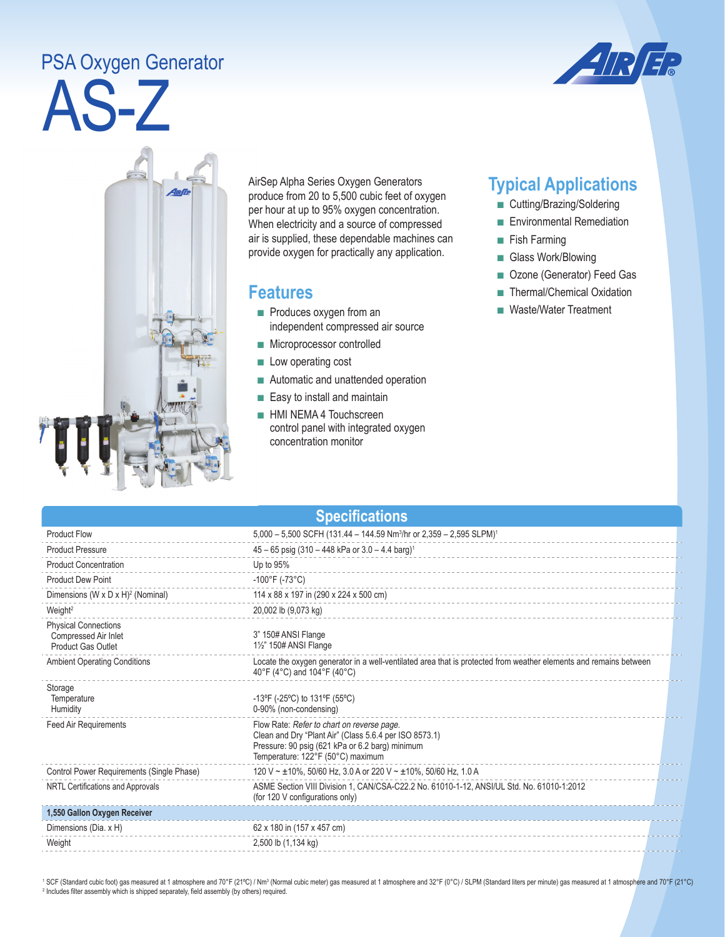## AS-Z PSA Oxygen Generator





AirSep Alpha Series Oxygen Generators produce from 20 to 5,500 cubic feet of oxygen per hour at up to 95% oxygen concentration. When electricity and a source of compressed air is supplied, these dependable machines can provide oxygen for practically any application.

## **Features**

- Produces oxygen from an independent compressed air source
- Microprocessor controlled
- Low operating cost
- Automatic and unattended operation
- Easy to install and maintain
- HMI NEMA 4 Touchscreen control panel with integrated oxygen concentration monitor

## **Typical Applications**

- Cutting/Brazing/Soldering
- Environmental Remediation
- Fish Farming
- Glass Work/Blowing
- Ozone (Generator) Feed Gas
- Thermal/Chemical Oxidation
- Waste/Water Treatment

| <b>Specifications</b>                                                            |                                                                                                                                                                                              |  |  |
|----------------------------------------------------------------------------------|----------------------------------------------------------------------------------------------------------------------------------------------------------------------------------------------|--|--|
| <b>Product Flow</b>                                                              | 5,000 - 5,500 SCFH (131.44 - 144.59 Nm <sup>3</sup> /hr or 2,359 - 2,595 SLPM) <sup>1</sup>                                                                                                  |  |  |
| <b>Product Pressure</b>                                                          | $45 - 65$ psig (310 - 448 kPa or 3.0 - 4.4 barg) <sup>1</sup>                                                                                                                                |  |  |
| <b>Product Concentration</b>                                                     | Up to 95%                                                                                                                                                                                    |  |  |
| <b>Product Dew Point</b>                                                         | $-100^{\circ}$ F (-73°C)                                                                                                                                                                     |  |  |
| Dimensions (W x D x H) <sup>2</sup> (Nominal)                                    | 114 x 88 x 197 in (290 x 224 x 500 cm)                                                                                                                                                       |  |  |
| Weight <sup>2</sup>                                                              | 20,002 lb (9,073 kg)                                                                                                                                                                         |  |  |
| <b>Physical Connections</b><br>Compressed Air Inlet<br><b>Product Gas Outlet</b> | 3" 150# ANSI Flange<br>11/2" 150# ANSI Flange                                                                                                                                                |  |  |
| <b>Ambient Operating Conditions</b>                                              | Locate the oxygen generator in a well-ventilated area that is protected from weather elements and remains between<br>40°F (4°C) and 104°F (40°C)                                             |  |  |
| Storage<br>Temperature<br>Humidity                                               | -13°F (-25°C) to 131°F (55°C)<br>0-90% (non-condensing)                                                                                                                                      |  |  |
| <b>Feed Air Requirements</b>                                                     | Flow Rate: Refer to chart on reverse page.<br>Clean and Dry "Plant Air" (Class 5.6.4 per ISO 8573.1)<br>Pressure: 90 psig (621 kPa or 6.2 barg) minimum<br>Temperature: 122°F (50°C) maximum |  |  |
| Control Power Requirements (Single Phase)                                        | 120 V ~ ±10%, 50/60 Hz, 3.0 A or 220 V ~ ±10%, 50/60 Hz, 1.0 A                                                                                                                               |  |  |
| NRTL Certifications and Approvals                                                | ASME Section VIII Division 1, CAN/CSA-C22.2 No. 61010-1-12, ANSI/UL Std. No. 61010-1:2012<br>(for 120 V configurations only)                                                                 |  |  |
| 1,550 Gallon Oxygen Receiver                                                     |                                                                                                                                                                                              |  |  |
| Dimensions (Dia. x H)                                                            | 62 x 180 in (157 x 457 cm)                                                                                                                                                                   |  |  |
| Weight                                                                           | 2,500 lb (1,134 kg)                                                                                                                                                                          |  |  |

<sup>1</sup> SCF (Standard cubic foot) gas measured at 1 atmosphere and 70°F (21°C) / Nm<sup>3</sup> (Normal cubic meter) gas measured at 1 atmosphere and 32°F (0°C) / SLPM (Standard liters per minute) gas measured at 1 atmosphere and 70°F <sup>2</sup> Includes filter assembly which is shipped separately, field assembly (by others) required.